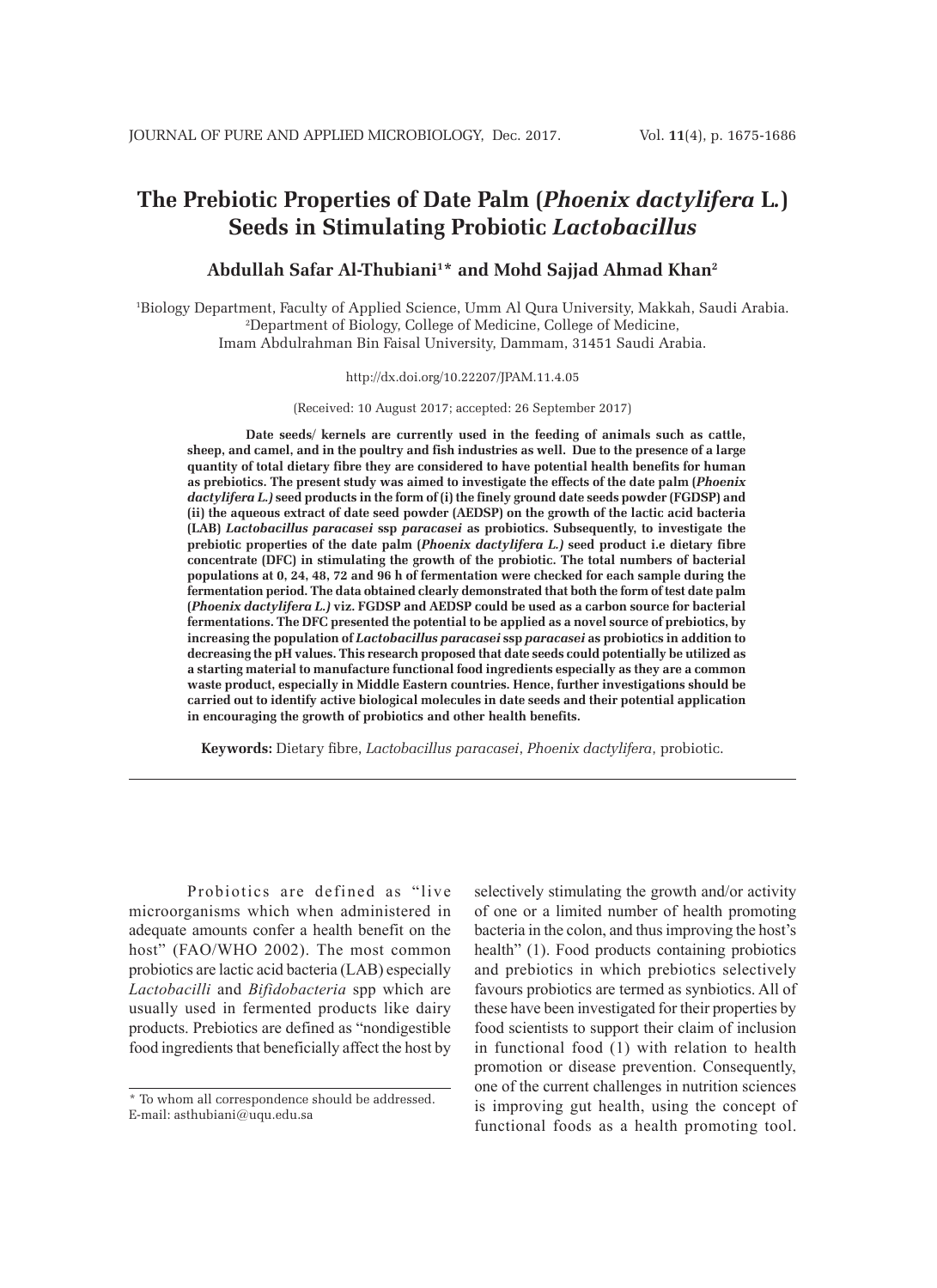# **The Prebiotic Properties of Date Palm (***Phoenix dactylifera* **L***.***) Seeds in Stimulating Probiotic** *Lactobacillus*

# **Abdullah Safar Al-Thubiani1 \* and Mohd Sajjad Ahmad Khan2**

1 Biology Department, Faculty of Applied Science, Umm Al Qura University, Makkah, Saudi Arabia. 2 Department of Biology, College of Medicine, College of Medicine, Imam Abdulrahman Bin Faisal University, Dammam, 31451 Saudi Arabia.

#### http://dx.doi.org/10.22207/JPAM.11.4.05

(Received: 10 August 2017; accepted: 26 September 2017)

**Date seeds/ kernels are currently used in the feeding of animals such as cattle, sheep, and camel, and in the poultry and fish industries as well. Due to the presence of a large quantity of total dietary fibre they are considered to have potential health benefits for human as prebiotics. The present study was aimed to investigate the effects of the date palm (***Phoenix dactylifera L.)* **seed products in the form of (i) the finely ground date seeds powder (FGDSP) and (ii) the aqueous extract of date seed powder (AEDSP) on the growth of the lactic acid bacteria (LAB)** *Lactobacillus paracasei* **ssp** *paracasei* **as probiotics. Subsequently, to investigate the prebiotic properties of the date palm (***Phoenix dactylifera L.)* **seed product i.e dietary fibre concentrate (DFC) in stimulating the growth of the probiotic. The total numbers of bacterial populations at 0, 24, 48, 72 and 96 h of fermentation were checked for each sample during the fermentation period. The data obtained clearly demonstrated that both the form of test date palm (***Phoenix dactylifera L.)* **viz. FGDSP and AEDSP could be used as a carbon source for bacterial fermentations. The DFC presented the potential to be applied as a novel source of prebiotics, by increasing the population of** *Lactobacillus paracasei* **ssp** *paracasei* **as probiotics in addition to decreasing the pH values. This research proposed that date seeds could potentially be utilized as a starting material to manufacture functional food ingredients especially as they are a common waste product, especially in Middle Eastern countries. Hence, further investigations should be carried out to identify active biological molecules in date seeds and their potential application in encouraging the growth of probiotics and other health benefits.**

**Keywords:** Dietary fibre, *Lactobacillus paracasei*, *Phoenix dactylifera*, probiotic.

Probiotics are defined as "live microorganisms which when administered in adequate amounts confer a health benefit on the host" (FAO/WHO 2002). The most common probiotics are lactic acid bacteria (LAB) especially *Lactobacilli* and *Bifidobacteria* spp which are usually used in fermented products like dairy products. Prebiotics are defined as "nondigestible food ingredients that beneficially affect the host by

selectively stimulating the growth and/or activity of one or a limited number of health promoting bacteria in the colon, and thus improving the host's health" (1). Food products containing probiotics and prebiotics in which prebiotics selectively favours probiotics are termed as synbiotics. All of these have been investigated for their properties by food scientists to support their claim of inclusion in functional food (1) with relation to health promotion or disease prevention. Consequently, one of the current challenges in nutrition sciences is improving gut health, using the concept of functional foods as a health promoting tool.

<sup>\*</sup> To whom all correspondence should be addressed. E-mail: asthubiani@uqu.edu.sa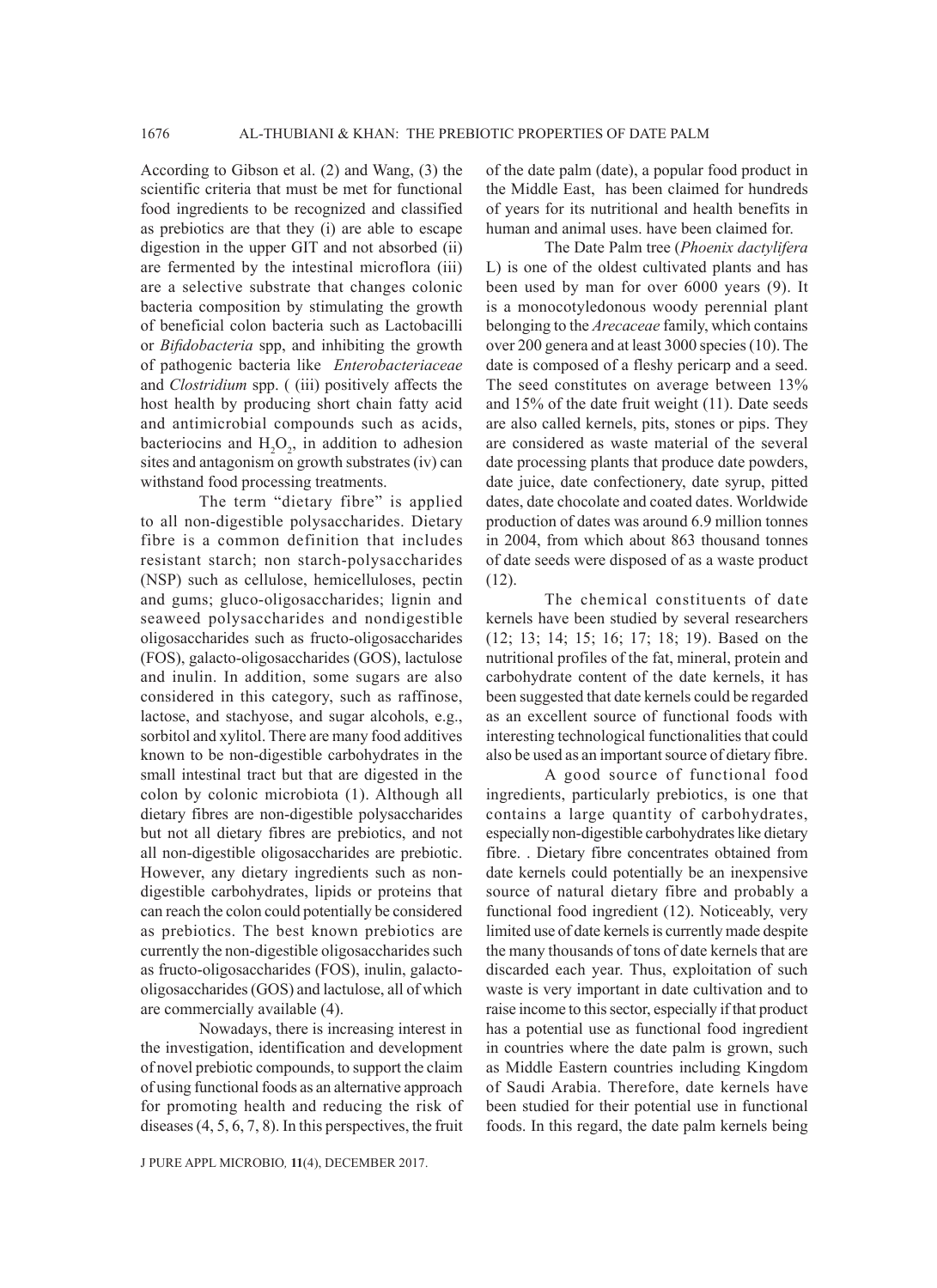According to Gibson et al. (2) and Wang, (3) the scientific criteria that must be met for functional food ingredients to be recognized and classified as prebiotics are that they (i) are able to escape digestion in the upper GIT and not absorbed (ii) are fermented by the intestinal microflora (iii) are a selective substrate that changes colonic bacteria composition by stimulating the growth of beneficial colon bacteria such as Lactobacilli or *Bifidobacteria* spp, and inhibiting the growth of pathogenic bacteria like *Enterobacteriaceae*  and *Clostridium* spp. ( (iii) positively affects the host health by producing short chain fatty acid and antimicrobial compounds such as acids, bacteriocins and  $H_2O_2$ , in addition to adhesion sites and antagonism on growth substrates (iv) can withstand food processing treatments.

The term "dietary fibre" is applied to all non-digestible polysaccharides. Dietary fibre is a common definition that includes resistant starch; non starch-polysaccharides (NSP) such as cellulose, hemicelluloses, pectin and gums; gluco-oligosaccharides; lignin and seaweed polysaccharides and nondigestible oligosaccharides such as fructo-oligosaccharides (FOS), galacto-oligosaccharides (GOS), lactulose and inulin. In addition, some sugars are also considered in this category, such as raffinose, lactose, and stachyose, and sugar alcohols, e.g., sorbitol and xylitol. There are many food additives known to be non-digestible carbohydrates in the small intestinal tract but that are digested in the colon by colonic microbiota (1). Although all dietary fibres are non-digestible polysaccharides but not all dietary fibres are prebiotics, and not all non-digestible oligosaccharides are prebiotic. However, any dietary ingredients such as nondigestible carbohydrates, lipids or proteins that can reach the colon could potentially be considered as prebiotics. The best known prebiotics are currently the non-digestible oligosaccharides such as fructo-oligosaccharides (FOS), inulin, galactooligosaccharides (GOS) and lactulose, all of which are commercially available (4).

Nowadays, there is increasing interest in the investigation, identification and development of novel prebiotic compounds, to support the claim of using functional foods as an alternative approach for promoting health and reducing the risk of diseases (4, 5, 6, 7, 8). In this perspectives, the fruit of the date palm (date), a popular food product in the Middle East, has been claimed for hundreds of years for its nutritional and health benefits in human and animal uses. have been claimed for.

The Date Palm tree (*Phoenix dactylifera* L) is one of the oldest cultivated plants and has been used by man for over 6000 years (9). It is a monocotyledonous woody perennial plant belonging to the *Arecaceae* family, which contains over 200 genera and at least 3000 species (10). The date is composed of a fleshy pericarp and a seed. The seed constitutes on average between 13% and 15% of the date fruit weight (11). Date seeds are also called kernels, pits, stones or pips. They are considered as waste material of the several date processing plants that produce date powders, date juice, date confectionery, date syrup, pitted dates, date chocolate and coated dates. Worldwide production of dates was around 6.9 million tonnes in 2004, from which about 863 thousand tonnes of date seeds were disposed of as a waste product (12).

The chemical constituents of date kernels have been studied by several researchers (12; 13; 14; 15; 16; 17; 18; 19). Based on the nutritional profiles of the fat, mineral, protein and carbohydrate content of the date kernels, it has been suggested that date kernels could be regarded as an excellent source of functional foods with interesting technological functionalities that could also be used as an important source of dietary fibre.

A good source of functional food ingredients, particularly prebiotics, is one that contains a large quantity of carbohydrates, especially non-digestible carbohydrates like dietary fibre. . Dietary fibre concentrates obtained from date kernels could potentially be an inexpensive source of natural dietary fibre and probably a functional food ingredient (12). Noticeably, very limited use of date kernels is currently made despite the many thousands of tons of date kernels that are discarded each year. Thus, exploitation of such waste is very important in date cultivation and to raise income to this sector, especially if that product has a potential use as functional food ingredient in countries where the date palm is grown, such as Middle Eastern countries including Kingdom of Saudi Arabia. Therefore, date kernels have been studied for their potential use in functional foods. In this regard, the date palm kernels being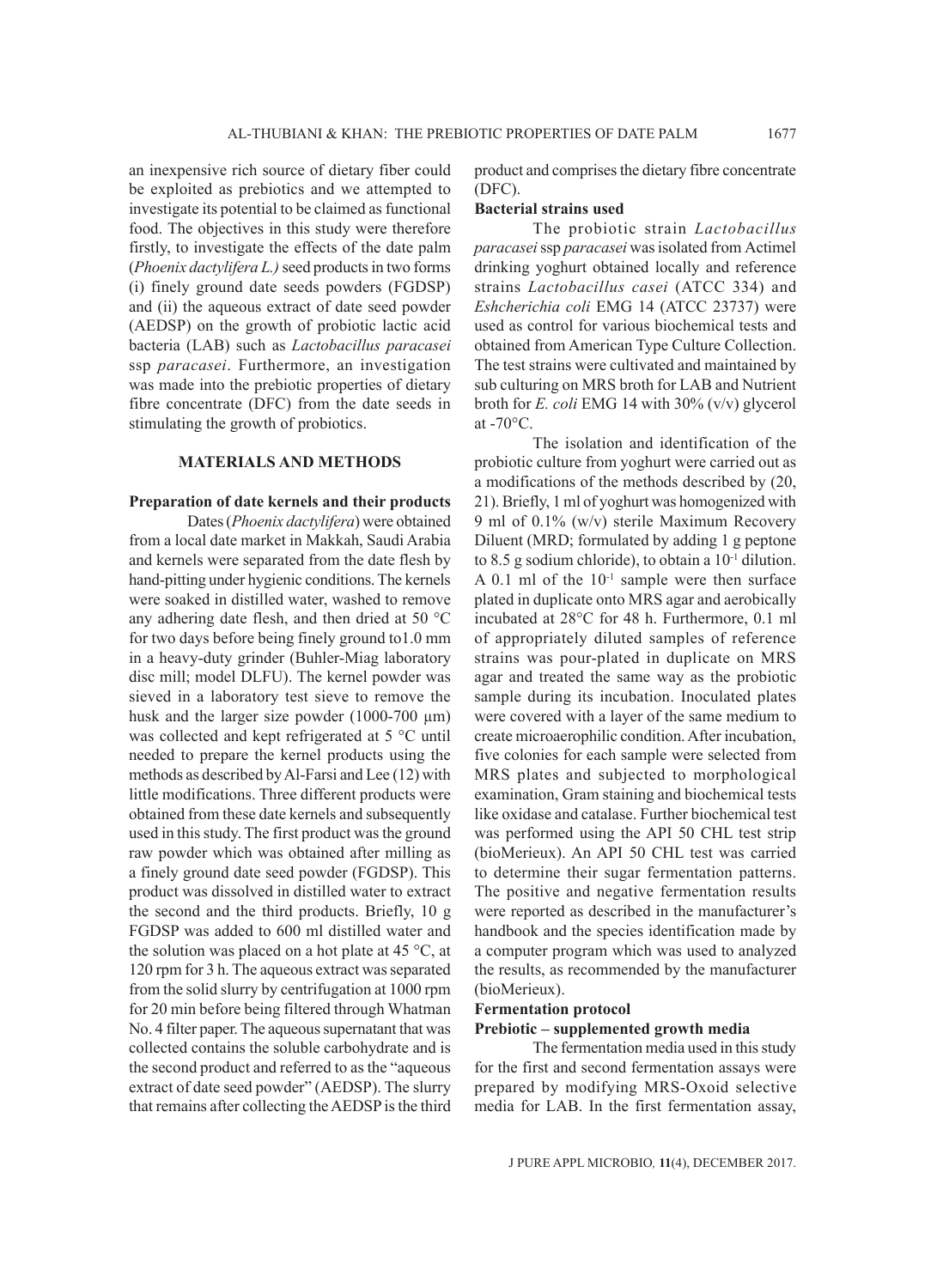an inexpensive rich source of dietary fiber could be exploited as prebiotics and we attempted to investigate its potential to be claimed as functional food. The objectives in this study were therefore firstly, to investigate the effects of the date palm (*Phoenix dactylifera L.)* seed products in two forms (i) finely ground date seeds powders (FGDSP) and (ii) the aqueous extract of date seed powder (AEDSP) on the growth of probiotic lactic acid bacteria (LAB) such as *Lactobacillus paracasei* ssp *paracasei*. Furthermore, an investigation was made into the prebiotic properties of dietary fibre concentrate (DFC) from the date seeds in stimulating the growth of probiotics.

#### **MATERIALS AND METHODS**

### **Preparation of date kernels and their products**

Dates (*Phoenix dactylifera*) were obtained from a local date market in Makkah, Saudi Arabia and kernels were separated from the date flesh by hand-pitting under hygienic conditions. The kernels were soaked in distilled water, washed to remove any adhering date flesh, and then dried at 50 °C for two days before being finely ground to1.0 mm in a heavy-duty grinder (Buhler-Miag laboratory disc mill; model DLFU). The kernel powder was sieved in a laboratory test sieve to remove the husk and the larger size powder  $(1000-700 \mu m)$ was collected and kept refrigerated at 5 °C until needed to prepare the kernel products using the methods as described by Al-Farsi and Lee (12) with little modifications. Three different products were obtained from these date kernels and subsequently used in this study. The first product was the ground raw powder which was obtained after milling as a finely ground date seed powder (FGDSP). This product was dissolved in distilled water to extract the second and the third products. Briefly, 10 g FGDSP was added to 600 ml distilled water and the solution was placed on a hot plate at 45  $\degree$ C, at 120 rpm for 3 h. The aqueous extract was separated from the solid slurry by centrifugation at 1000 rpm for 20 min before being filtered through Whatman No. 4 filter paper. The aqueous supernatant that was collected contains the soluble carbohydrate and is the second product and referred to as the "aqueous extract of date seed powder" (AEDSP). The slurry that remains after collecting the AEDSP is the third

product and comprises the dietary fibre concentrate (DFC).

#### **Bacterial strains used**

The probiotic strain *Lactobacillus paracasei* ssp *paracasei* was isolated from Actimel drinking yoghurt obtained locally and reference strains *Lactobacillus casei* (ATCC 334) and *Eshcherichia coli* EMG 14 (ATCC 23737) were used as control for various biochemical tests and obtained from American Type Culture Collection. The test strains were cultivated and maintained by sub culturing on MRS broth for LAB and Nutrient broth for *E. coli* EMG 14 with 30% (v/v) glycerol at -70°C.

The isolation and identification of the probiotic culture from yoghurt were carried out as a modifications of the methods described by (20, 21). Briefly, 1 ml of yoghurt was homogenized with 9 ml of 0.1% (w/v) sterile Maximum Recovery Diluent (MRD; formulated by adding 1 g peptone to 8.5 g sodium chloride), to obtain a  $10^{-1}$  dilution. A 0.1 ml of the  $10^{-1}$  sample were then surface plated in duplicate onto MRS agar and aerobically incubated at 28°C for 48 h. Furthermore, 0.1 ml of appropriately diluted samples of reference strains was pour-plated in duplicate on MRS agar and treated the same way as the probiotic sample during its incubation. Inoculated plates were covered with a layer of the same medium to create microaerophilic condition. After incubation, five colonies for each sample were selected from MRS plates and subjected to morphological examination, Gram staining and biochemical tests like oxidase and catalase. Further biochemical test was performed using the API 50 CHL test strip (bioMerieux). An API 50 CHL test was carried to determine their sugar fermentation patterns. The positive and negative fermentation results were reported as described in the manufacturer's handbook and the species identification made by a computer program which was used to analyzed the results, as recommended by the manufacturer (bioMerieux).

### **Fermentation protocol**

### **Prebiotic – supplemented growth media**

The fermentation media used in this study for the first and second fermentation assays were prepared by modifying MRS-Oxoid selective media for LAB. In the first fermentation assay,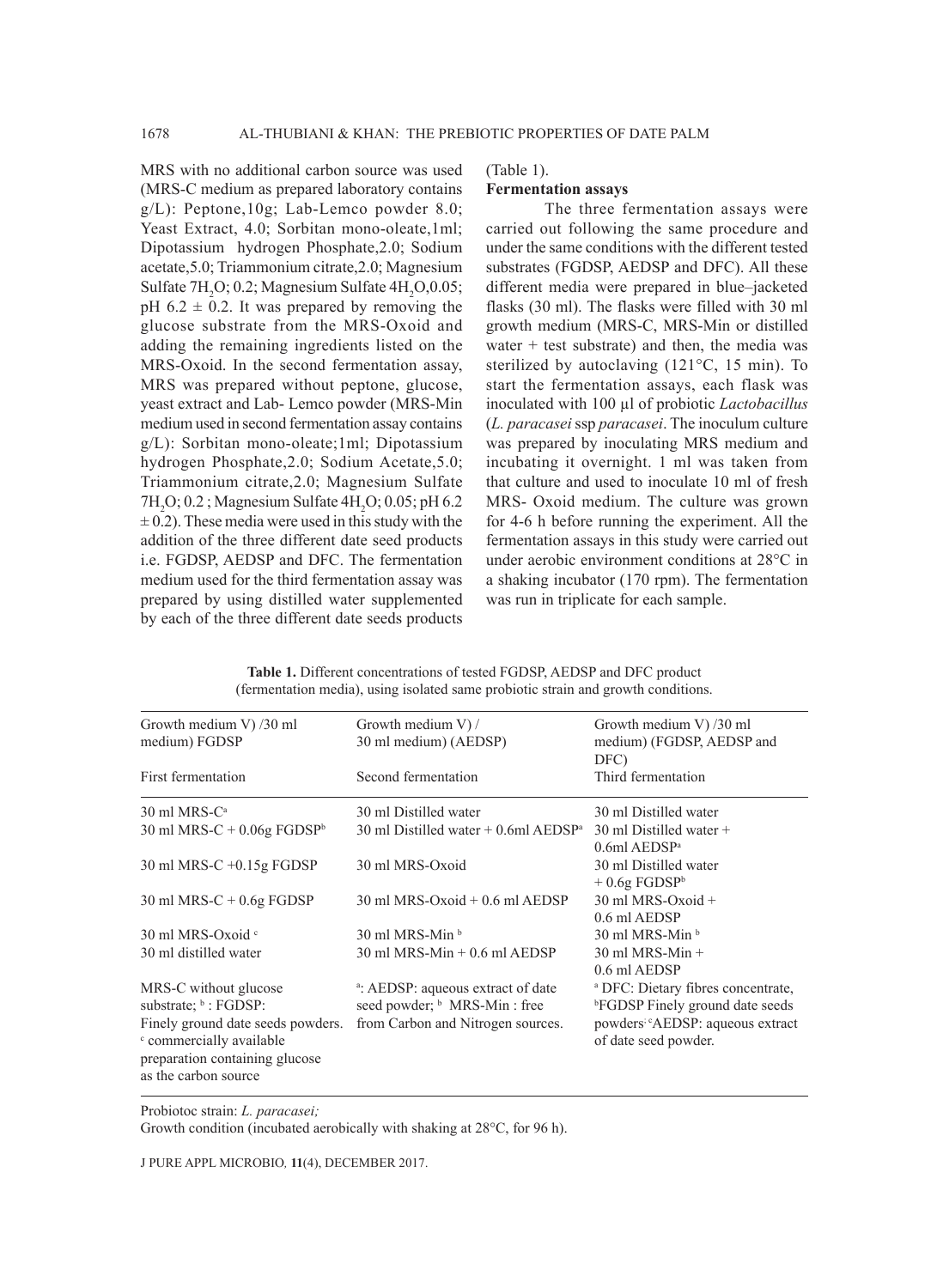MRS with no additional carbon source was used (MRS-C medium as prepared laboratory contains g/L): Peptone,10g; Lab-Lemco powder 8.0; Yeast Extract, 4.0; Sorbitan mono-oleate,1ml; Dipotassium hydrogen Phosphate,2.0; Sodium acetate,5.0; Triammonium citrate,2.0; Magnesium Sulfate  $7H_2O$ ; 0.2; Magnesium Sulfate  $4H_2O$ , 0.05; pH  $6.2 \pm 0.2$ . It was prepared by removing the glucose substrate from the MRS-Oxoid and adding the remaining ingredients listed on the MRS-Oxoid. In the second fermentation assay, MRS was prepared without peptone, glucose, yeast extract and Lab- Lemco powder (MRS-Min medium used in second fermentation assay contains g/L): Sorbitan mono-oleate;1ml; Dipotassium hydrogen Phosphate,2.0; Sodium Acetate,5.0; Triammonium citrate,2.0; Magnesium Sulfate  $7H<sub>2</sub>O$ ; 0.2; Magnesium Sulfate  $4H<sub>2</sub>O$ ; 0.05; pH 6.2  $\pm$  0.2). These media were used in this study with the addition of the three different date seed products i.e. FGDSP, AEDSP and DFC. The fermentation medium used for the third fermentation assay was prepared by using distilled water supplemented by each of the three different date seeds products

#### (Table 1).

### **Fermentation assays**

The three fermentation assays were carried out following the same procedure and under the same conditions with the different tested substrates (FGDSP, AEDSP and DFC). All these different media were prepared in blue–jacketed flasks (30 ml). The flasks were filled with 30 ml growth medium (MRS-C, MRS-Min or distilled water  $+$  test substrate) and then, the media was sterilized by autoclaving (121°C, 15 min). To start the fermentation assays, each flask was inoculated with 100 µl of probiotic *Lactobacillus*  (*L. paracasei* ssp *paracasei*. The inoculum culture was prepared by inoculating MRS medium and incubating it overnight. 1 ml was taken from that culture and used to inoculate 10 ml of fresh MRS- Oxoid medium. The culture was grown for 4-6 h before running the experiment. All the fermentation assays in this study were carried out under aerobic environment conditions at 28°C in a shaking incubator (170 rpm). The fermentation was run in triplicate for each sample.

| Growth medium V) /30 ml<br>medium) FGDSP                                                                                | Growth medium V) /<br>30 ml medium) (AEDSP)                                               | Growth medium V) /30 ml<br>medium) (FGDSP, AEDSP and<br>DFC)                           |
|-------------------------------------------------------------------------------------------------------------------------|-------------------------------------------------------------------------------------------|----------------------------------------------------------------------------------------|
| First fermentation                                                                                                      | Second fermentation                                                                       | Third fermentation                                                                     |
| 30 ml MRS-C <sup>a</sup>                                                                                                | 30 ml Distilled water                                                                     | 30 ml Distilled water                                                                  |
| 30 ml MRS-C + $0.06g$ FGDSP <sup>b</sup>                                                                                | 30 ml Distilled water $+$ 0.6ml AEDSP <sup>a</sup>                                        | $30$ ml Distilled water +<br>$0.6ml$ AEDSP <sup>a</sup>                                |
| $30$ ml MRS-C +0.15g FGDSP                                                                                              | 30 ml MRS-Oxoid                                                                           | 30 ml Distilled water<br>$+0.6g$ FGDSP <sup>b</sup>                                    |
| 30 ml MRS-C + $0.6g$ FGDSP                                                                                              | $30$ ml MRS-Oxoid $+0.6$ ml AEDSP                                                         | $30$ ml MRS-Oxoid +<br>0.6 ml AEDSP                                                    |
| 30 ml MRS-Oxoid c                                                                                                       | $30$ ml MRS-Min $\frac{b}{b}$                                                             | $30$ ml MRS-Min $\frac{1}{6}$                                                          |
| 30 ml distilled water                                                                                                   | $30$ ml MRS-Min $+0.6$ ml AEDSP                                                           | $30$ ml MRS-Min +<br>0.6 ml AEDSP                                                      |
| MRS-C without glucose<br>substrate; $\frac{b}{c}$ : FGDSP:                                                              | <sup>a</sup> : AEDSP: aqueous extract of date<br>seed powder; <sup>b</sup> MRS-Min : free | <sup>a</sup> DFC: Dietary fibres concentrate,<br><b>FGDSP</b> Finely ground date seeds |
| Finely ground date seeds powders.<br>c commercially available<br>preparation containing glucose<br>as the carbon source | from Carbon and Nitrogen sources.                                                         | powders <sup>3</sup> AEDSP: aqueous extract<br>of date seed powder.                    |

**Table 1.** Different concentrations of tested FGDSP, AEDSP and DFC product (fermentation media), using isolated same probiotic strain and growth conditions.

Probiotoc strain: *L. paracasei;* 

Growth condition (incubated aerobically with shaking at 28°C, for 96 h).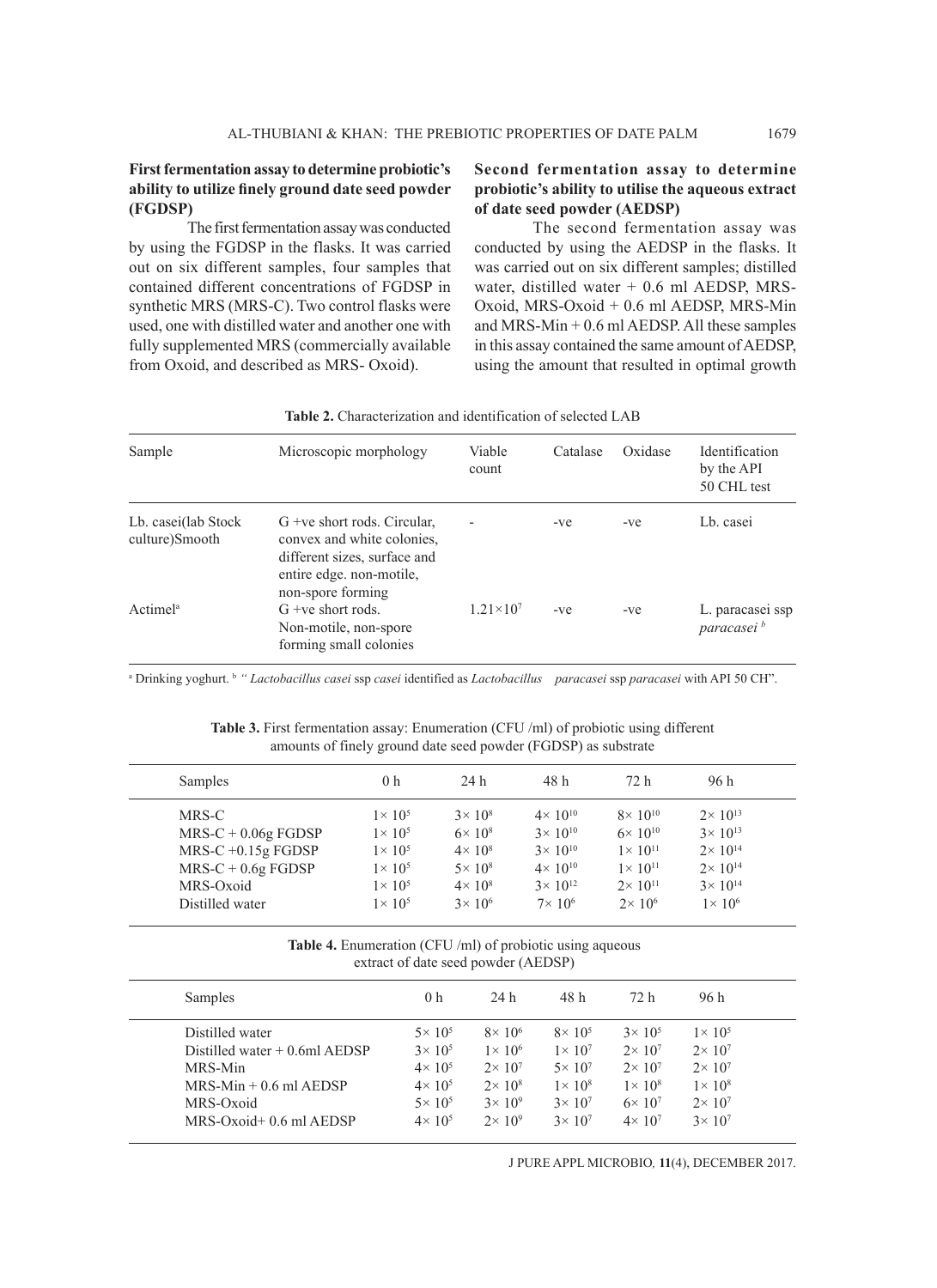# **First fermentation assay to determine probiotic's ability to utilize finely ground date seed powder (FGDSP)**

The first fermentation assay was conducted by using the FGDSP in the flasks. It was carried out on six different samples, four samples that contained different concentrations of FGDSP in synthetic MRS (MRS-C). Two control flasks were used, one with distilled water and another one with fully supplemented MRS (commercially available from Oxoid, and described as MRS- Oxoid).

# **Second fermentation assay to determine probiotic's ability to utilise the aqueous extract of date seed powder (AEDSP)**

The second fermentation assay was conducted by using the AEDSP in the flasks. It was carried out on six different samples; distilled water, distilled water  $+ 0.6$  ml AEDSP, MRS-Oxoid, MRS-Oxoid + 0.6 ml AEDSP, MRS-Min and MRS-Min + 0.6 ml AEDSP. All these samples in this assay contained the same amount of AEDSP, using the amount that resulted in optimal growth

| Sample                                | Microscopic morphology                                                                                                                       | Viable<br>count          | Catalase | Oxidase | Identification<br>by the API<br>50 CHL test |  |
|---------------------------------------|----------------------------------------------------------------------------------------------------------------------------------------------|--------------------------|----------|---------|---------------------------------------------|--|
| Lb. casei(lab Stock<br>culture)Smooth | $G$ +ve short rods. Circular,<br>convex and white colonies.<br>different sizes, surface and<br>entire edge, non-motile,<br>non-spore forming | $\overline{\phantom{a}}$ | $-ve$    | $-ve$   | Lb. casei                                   |  |
| Actime <sup>la</sup>                  | $G$ +ve short rods.<br>Non-motile, non-spore<br>forming small colonies                                                                       | $1.21 \times 10^{7}$     | $-ve$    | $-ve$   | L. paracasei ssp<br>paracasei <sup>b</sup>  |  |

# **Table 2.** Characterization and identification of selected LAB

a Drinking yoghurt. b *" Lactobacillus casei* ssp *casei* identified as *Lactobacillus paracasei* ssp *paracasei* with API 50 CH".

**Table 3.** First fermentation assay: Enumeration (CFU /ml) of probiotic using different amounts of finely ground date seed powder (FGDSP) as substrate

| Samples                                                                                                        | 0 <sub>h</sub>                                                                                                       | 24 h                                                                                                             | 48 h                                                                                                                         | 72 h                                                                                                                          | 96 h                                                                                                                            |  |
|----------------------------------------------------------------------------------------------------------------|----------------------------------------------------------------------------------------------------------------------|------------------------------------------------------------------------------------------------------------------|------------------------------------------------------------------------------------------------------------------------------|-------------------------------------------------------------------------------------------------------------------------------|---------------------------------------------------------------------------------------------------------------------------------|--|
| MRS-C<br>$MRS-C + 0.06g FGDSP$<br>$MRS-C +0.15g$ FGDSP<br>$MRS-C + 0.6g FGDSP$<br>MRS-Oxoid<br>Distilled water | $1\times 10^5$<br>$1\times 10^5$<br>$1 \times 10^{5}$<br>$1 \times 10^{5}$<br>$1 \times 10^{5}$<br>$1 \times 10^{5}$ | $3 \times 10^8$<br>$6 \times 10^{8}$<br>$4\times 10^8$<br>$5 \times 10^8$<br>$4\times 10^8$<br>$3 \times 10^{6}$ | $4 \times 10^{10}$<br>$3 \times 10^{10}$<br>$3 \times 10^{10}$<br>$4 \times 10^{10}$<br>$3 \times 10^{12}$<br>$7\times 10^6$ | $8 \times 10^{10}$<br>$6 \times 10^{10}$<br>$1 \times 10^{11}$<br>$1 \times 10^{11}$<br>$2 \times 10^{11}$<br>$2 \times 10^6$ | $2 \times 10^{13}$<br>$3 \times 10^{13}$<br>$2 \times 10^{14}$<br>$2 \times 10^{14}$<br>$3 \times 10^{14}$<br>$1 \times 10^{6}$ |  |
|                                                                                                                |                                                                                                                      |                                                                                                                  |                                                                                                                              |                                                                                                                               |                                                                                                                                 |  |

**Table 4.** Enumeration (CFU /ml) of probiotic using aqueous extract of date seed powder (AEDSP)

| Samples                         | 0 <sub>h</sub>    | 24 h              | 48 h            | 72 h              | 96 h              |  |
|---------------------------------|-------------------|-------------------|-----------------|-------------------|-------------------|--|
| Distilled water                 | $5 \times 10^5$   | $8\times 10^6$    | $8\times 10^5$  | $3 \times 10^{5}$ | $1 \times 10^{5}$ |  |
| Distilled water $+$ 0.6ml AEDSP | $3 \times 10^{5}$ | $1 \times 10^6$   | $1 \times 10^7$ | $2 \times 10^7$   | $2 \times 10^7$   |  |
| MRS-Min                         | $4 \times 10^{5}$ | $2 \times 10^7$   | $5 \times 10^7$ | $2 \times 10^7$   | $2 \times 10^7$   |  |
| $MRS-Min + 0.6$ ml AEDSP        | $4 \times 10^{5}$ | $2 \times 10^8$   | $1 \times 10^8$ | $1\times 10^8$    | $1\times 10^8$    |  |
| MRS-Oxoid                       | $5 \times 10^5$   | $3 \times 10^{9}$ | $3 \times 10^7$ | $6\times 10^7$    | $2 \times 10^7$   |  |
| $MRS-Oxoid+0.6$ ml $AEDSP$      | $4 \times 10^{5}$ | $2\times 10^9$    | $3 \times 10^7$ | $4 \times 10^7$   | $3 \times 10^{7}$ |  |
|                                 |                   |                   |                 |                   |                   |  |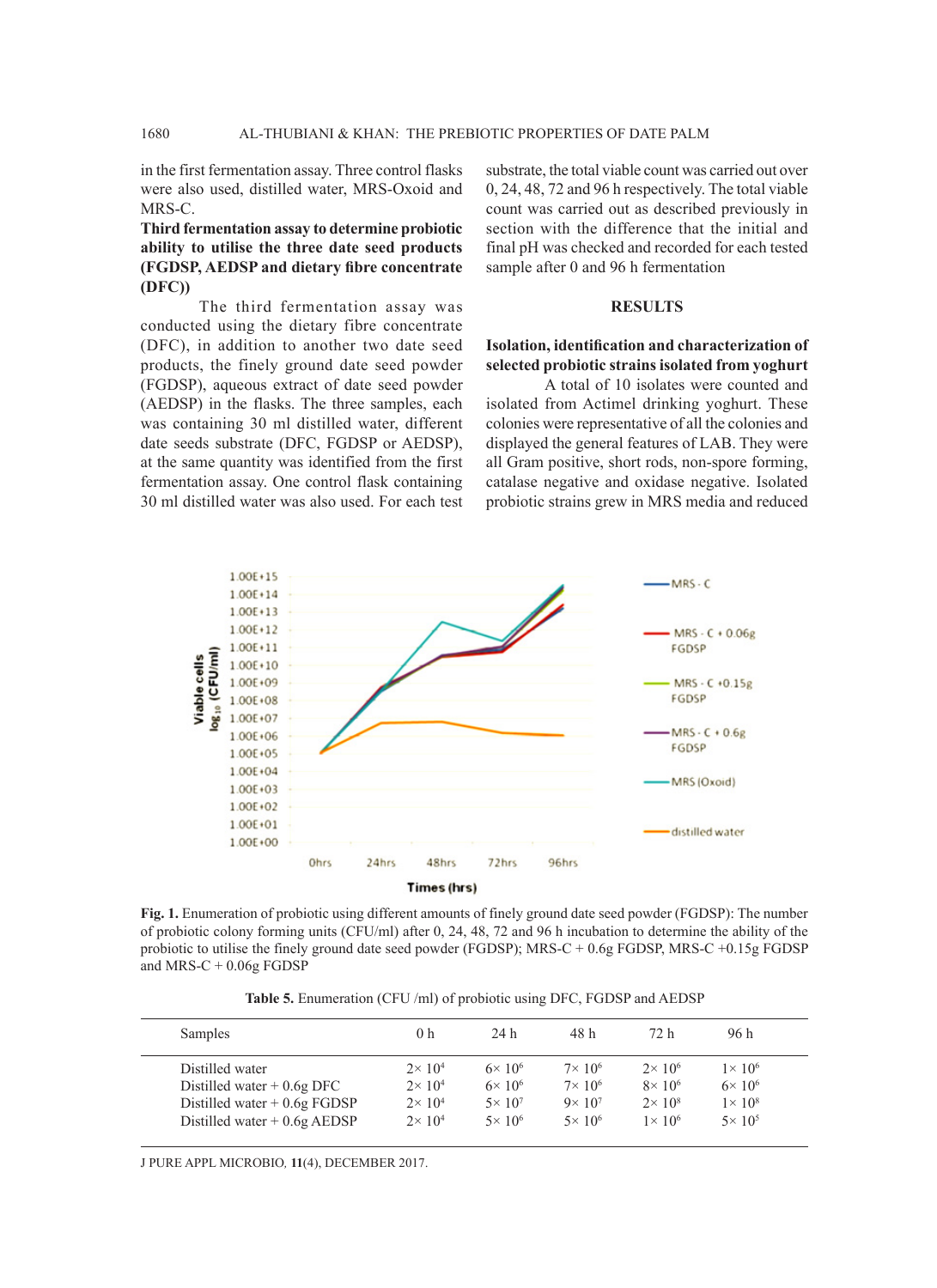in the first fermentation assay. Three control flasks were also used, distilled water, MRS-Oxoid and MRS-C.

**Third fermentation assay to determine probiotic ability to utilise the three date seed products (FGDSP, AEDSP and dietary fibre concentrate (DFC))**

The third fermentation assay was conducted using the dietary fibre concentrate (DFC), in addition to another two date seed products, the finely ground date seed powder (FGDSP), aqueous extract of date seed powder (AEDSP) in the flasks. The three samples, each was containing 30 ml distilled water, different date seeds substrate (DFC, FGDSP or AEDSP), at the same quantity was identified from the first fermentation assay. One control flask containing 30 ml distilled water was also used. For each test

substrate, the total viable count was carried out over 0, 24, 48, 72 and 96 h respectively. The total viable count was carried out as described previously in section with the difference that the initial and final pH was checked and recorded for each tested sample after 0 and 96 h fermentation

## **RESULTS**

# **Isolation, identification and characterization of selected probiotic strains isolated from yoghurt**

A total of 10 isolates were counted and isolated from Actimel drinking yoghurt. These colonies were representative of all the colonies and displayed the general features of LAB. They were all Gram positive, short rods, non-spore forming, catalase negative and oxidase negative. Isolated probiotic strains grew in MRS media and reduced



**Fig. 1.** Enumeration of probiotic using different amounts of finely ground date seed powder (FGDSP): The number of probiotic colony forming units (CFU/ml) after 0, 24, 48, 72 and 96 h incubation to determine the ability of the probiotic to utilise the finely ground date seed powder (FGDSP); MRS-C + 0.6g FGDSP, MRS-C +0.15g FGDSP and MRS-C + 0.06g FGDSP

**Table 5.** Enumeration (CFU /ml) of probiotic using DFC, FGDSP and AEDSP

| Samples                       | 0 <sub>h</sub>    | 24 h            | 48 h            | 72 h            | 96 h              |
|-------------------------------|-------------------|-----------------|-----------------|-----------------|-------------------|
| Distilled water               | $2 \times 10^4$   | $6\times 10^6$  | $7\times 10^6$  | $2 \times 10^6$ | $1 \times 10^{6}$ |
| Distilled water $+0.6g$ DFC   | $2 \times 10^{4}$ | $6\times 10^6$  | $7\times 10^6$  | $8\times 10^6$  | $6 \times 10^{6}$ |
| Distilled water $+0.6g$ FGDSP | $2 \times 10^{4}$ | $5 \times 10^7$ | $9 \times 10^7$ | $2 \times 10^8$ | $1 \times 10^8$   |
| Distilled water $+0.6g$ AEDSP | $2 \times 10^{4}$ | $5 \times 10^6$ | $5 \times 10^6$ | $1\times 10^6$  | $5 \times 10^5$   |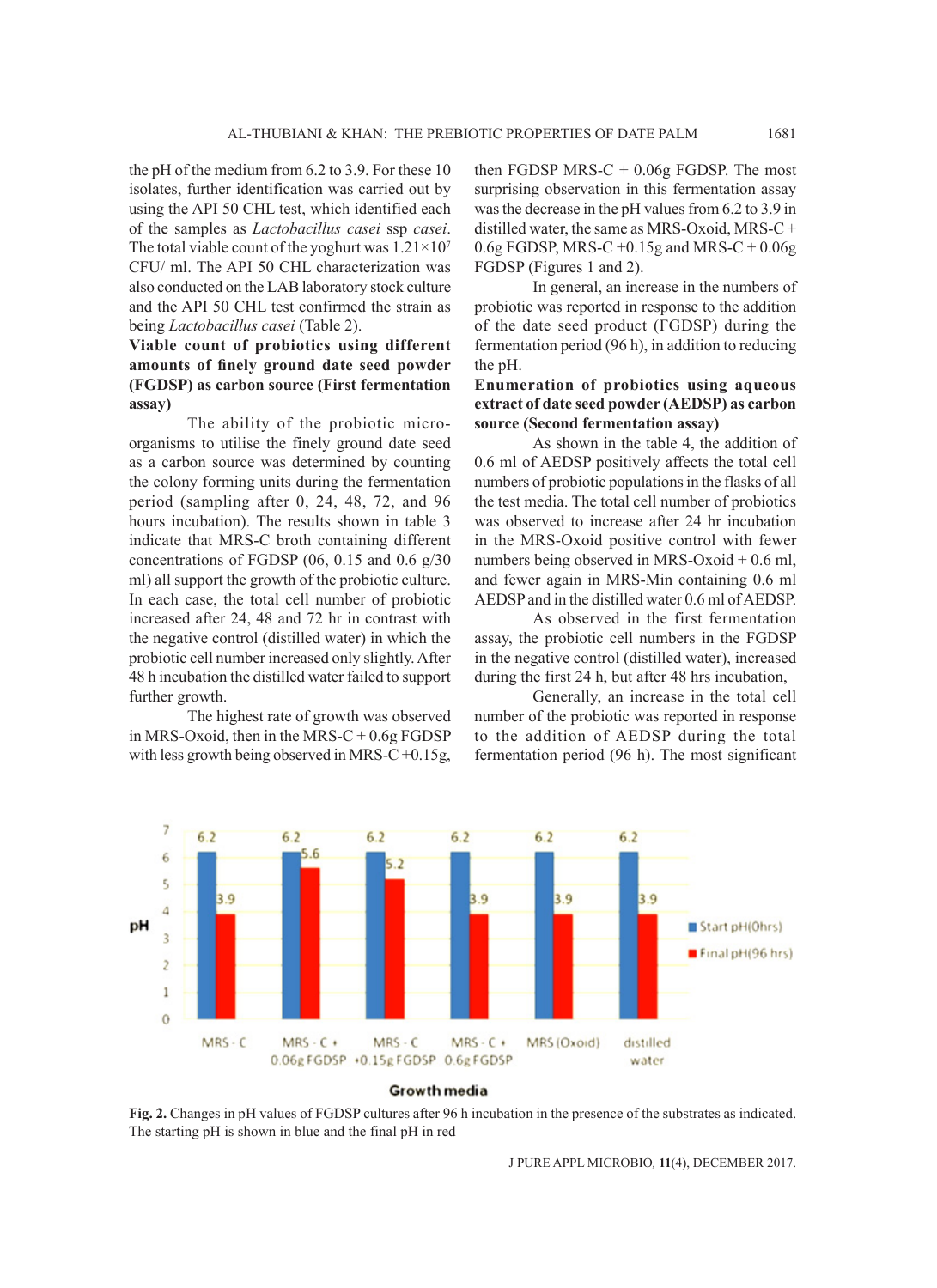the pH of the medium from 6.2 to 3.9. For these 10 isolates, further identification was carried out by using the API 50 CHL test, which identified each of the samples as *Lactobacillus casei* ssp *casei*. The total viable count of the yoghurt was  $1.21\times10^{7}$ CFU/ ml. The API 50 CHL characterization was also conducted on the LAB laboratory stock culture and the API 50 CHL test confirmed the strain as being *Lactobacillus casei* (Table 2).

# **Viable count of probiotics using different amounts of finely ground date seed powder (FGDSP) as carbon source (First fermentation assay)**

The ability of the probiotic microorganisms to utilise the finely ground date seed as a carbon source was determined by counting the colony forming units during the fermentation period (sampling after 0, 24, 48, 72, and 96 hours incubation). The results shown in table 3 indicate that MRS-C broth containing different concentrations of FGDSP (06, 0.15 and 0.6 g/30 ml) all support the growth of the probiotic culture. In each case, the total cell number of probiotic increased after 24, 48 and 72 hr in contrast with the negative control (distilled water) in which the probiotic cell number increased only slightly. After 48 h incubation the distilled water failed to support further growth.

The highest rate of growth was observed in MRS-Oxoid, then in the MRS-C  $+0.6g$  FGDSP with less growth being observed in MRS-C +0.15g, then FGDSP MRS- $C + 0.06g$  FGDSP. The most surprising observation in this fermentation assay was the decrease in the pH values from 6.2 to 3.9 in distilled water, the same as MRS-Oxoid, MRS-C +  $0.6g$  FGDSP, MRS-C +0.15g and MRS-C +  $0.06g$ FGDSP (Figures 1 and 2).

In general, an increase in the numbers of probiotic was reported in response to the addition of the date seed product (FGDSP) during the fermentation period (96 h), in addition to reducing the pH.

# **Enumeration of probiotics using aqueous extract of date seed powder (AEDSP) as carbon source (Second fermentation assay)**

As shown in the table 4, the addition of 0.6 ml of AEDSP positively affects the total cell numbers of probiotic populations in the flasks of all the test media. The total cell number of probiotics was observed to increase after 24 hr incubation in the MRS-Oxoid positive control with fewer numbers being observed in MRS-Oxoid + 0.6 ml, and fewer again in MRS-Min containing 0.6 ml AEDSP and in the distilled water 0.6 ml of AEDSP.

As observed in the first fermentation assay, the probiotic cell numbers in the FGDSP in the negative control (distilled water), increased during the first 24 h, but after 48 hrs incubation,

Generally, an increase in the total cell number of the probiotic was reported in response to the addition of AEDSP during the total fermentation period (96 h). The most significant



#### Growth media

**Fig. 2.** Changes in pH values of FGDSP cultures after 96 h incubation in the presence of the substrates as indicated. The starting pH is shown in blue and the final pH in red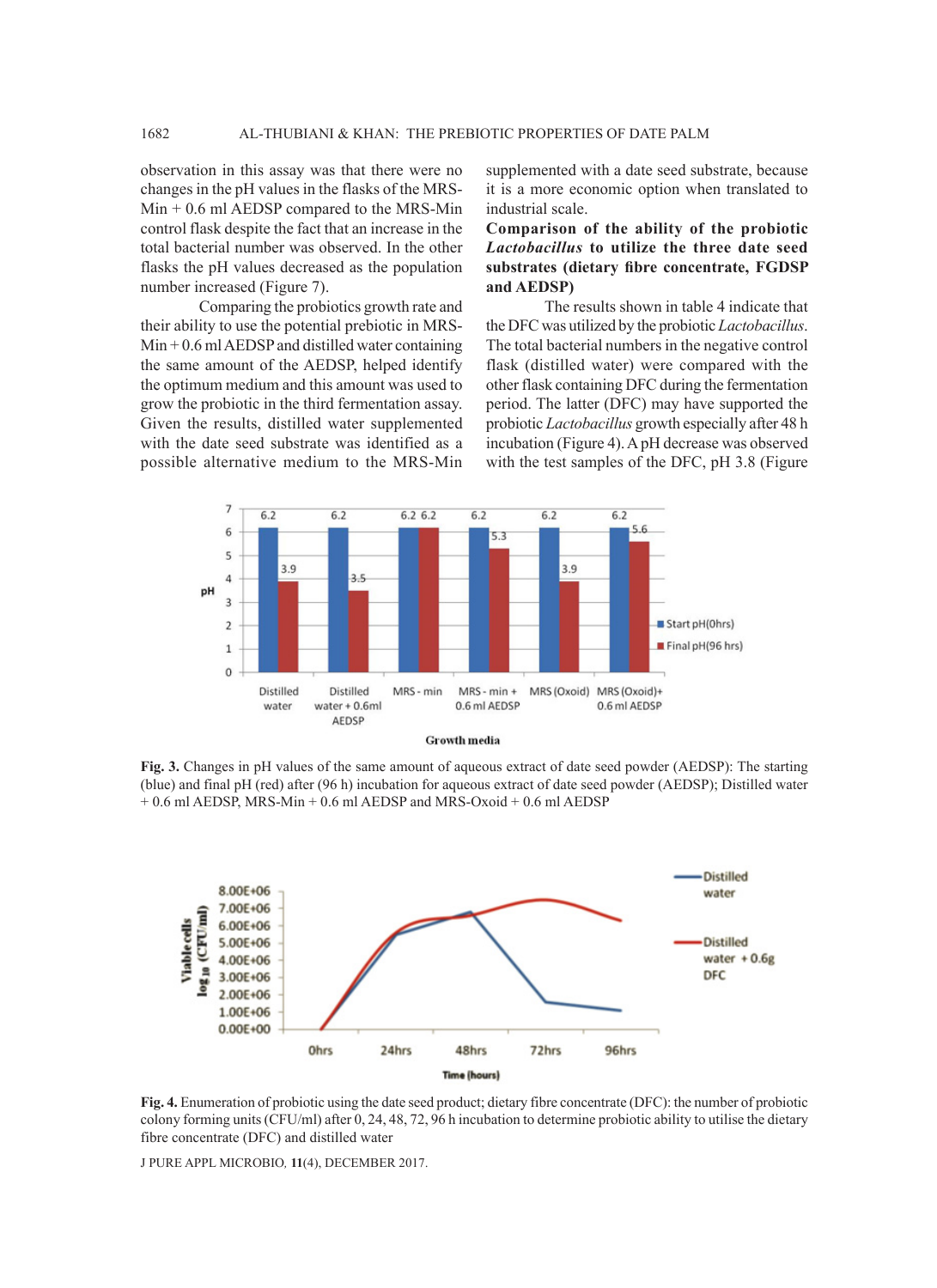observation in this assay was that there were no changes in the pH values in the flasks of the MRS-Min + 0.6 ml AEDSP compared to the MRS-Min control flask despite the fact that an increase in the total bacterial number was observed. In the other flasks the pH values decreased as the population number increased (Figure 7).

Comparing the probiotics growth rate and their ability to use the potential prebiotic in MRS- $Min + 0.6$  ml AEDSP and distilled water containing the same amount of the AEDSP, helped identify the optimum medium and this amount was used to grow the probiotic in the third fermentation assay. Given the results, distilled water supplemented with the date seed substrate was identified as a possible alternative medium to the MRS-Min

supplemented with a date seed substrate, because it is a more economic option when translated to industrial scale.

**Comparison of the ability of the probiotic**  *Lactobacillus* **to utilize the three date seed substrates (dietary fibre concentrate, FGDSP and AEDSP)**

The results shown in table 4 indicate that the DFC was utilized by the probiotic *Lactobacillus*. The total bacterial numbers in the negative control flask (distilled water) were compared with the other flask containing DFC during the fermentation period. The latter (DFC) may have supported the probiotic *Lactobacillus* growth especially after 48 h incubation (Figure 4). A pH decrease was observed with the test samples of the DFC, pH 3.8 (Figure



**Fig. 3.** Changes in pH values of the same amount of aqueous extract of date seed powder (AEDSP): The starting (blue) and final pH (red) after (96 h) incubation for aqueous extract of date seed powder (AEDSP); Distilled water + 0.6 ml AEDSP, MRS-Min + 0.6 ml AEDSP and MRS-Oxoid + 0.6 ml AEDSP



**Fig. 4.** Enumeration of probiotic using the date seed product; dietary fibre concentrate (DFC): the number of probiotic colony forming units (CFU/ml) after 0, 24, 48, 72, 96 h incubation to determine probiotic ability to utilise the dietary fibre concentrate (DFC) and distilled water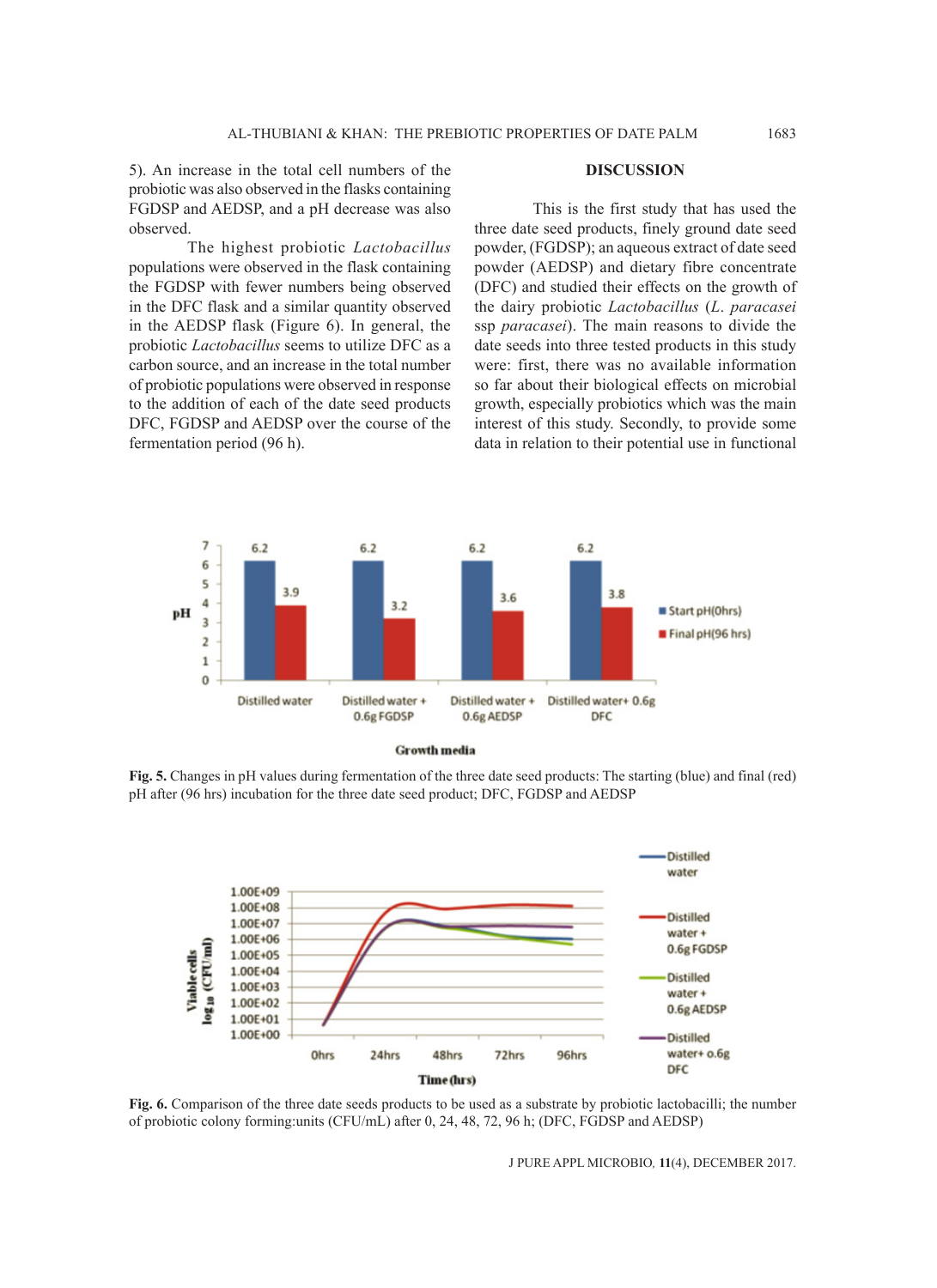5). An increase in the total cell numbers of the probiotic was also observed in the flasks containing FGDSP and AEDSP, and a pH decrease was also observed.

The highest probiotic *Lactobacillus* populations were observed in the flask containing the FGDSP with fewer numbers being observed in the DFC flask and a similar quantity observed in the AEDSP flask (Figure 6). In general, the probiotic *Lactobacillus* seems to utilize DFC as a carbon source, and an increase in the total number of probiotic populations were observed in response to the addition of each of the date seed products DFC, FGDSP and AEDSP over the course of the fermentation period (96 h).

# **DISCUSSION**

This is the first study that has used the three date seed products, finely ground date seed powder, (FGDSP); an aqueous extract of date seed powder (AEDSP) and dietary fibre concentrate (DFC) and studied their effects on the growth of the dairy probiotic *Lactobacillus* (*L*. *paracasei*  ssp *paracasei*). The main reasons to divide the date seeds into three tested products in this study were: first, there was no available information so far about their biological effects on microbial growth, especially probiotics which was the main interest of this study. Secondly, to provide some data in relation to their potential use in functional





**Fig. 5.** Changes in pH values during fermentation of the three date seed products: The starting (blue) and final (red) pH after (96 hrs) incubation for the three date seed product; DFC, FGDSP and AEDSP



**Fig. 6.** Comparison of the three date seeds products to be used as a substrate by probiotic lactobacilli; the number of probiotic colony forming:units (CFU/mL) after 0, 24, 48, 72, 96 h; (DFC, FGDSP and AEDSP)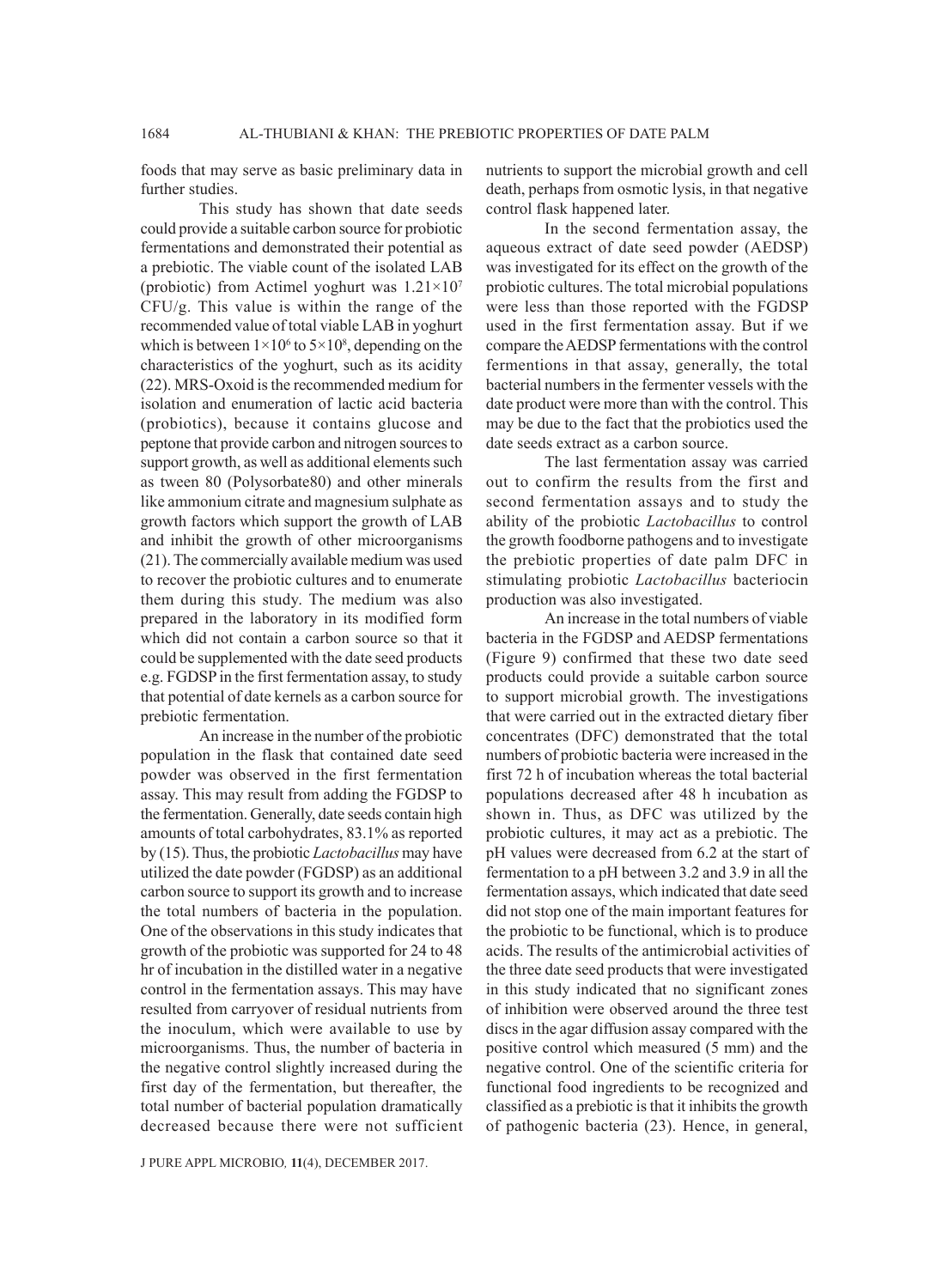foods that may serve as basic preliminary data in further studies.

This study has shown that date seeds could provide a suitable carbon source for probiotic fermentations and demonstrated their potential as a prebiotic. The viable count of the isolated LAB (probiotic) from Actimel yoghurt was  $1.21 \times 10^7$ CFU/g. This value is within the range of the recommended value of total viable LAB in yoghurt which is between  $1 \times 10^6$  to  $5 \times 10^8$ , depending on the characteristics of the yoghurt, such as its acidity (22). MRS-Oxoid is the recommended medium for isolation and enumeration of lactic acid bacteria (probiotics), because it contains glucose and peptone that provide carbon and nitrogen sources to support growth, as well as additional elements such as tween 80 (Polysorbate80) and other minerals like ammonium citrate and magnesium sulphate as growth factors which support the growth of LAB and inhibit the growth of other microorganisms (21). The commercially available medium was used to recover the probiotic cultures and to enumerate them during this study. The medium was also prepared in the laboratory in its modified form which did not contain a carbon source so that it could be supplemented with the date seed products e.g. FGDSP in the first fermentation assay, to study that potential of date kernels as a carbon source for prebiotic fermentation.

An increase in the number of the probiotic population in the flask that contained date seed powder was observed in the first fermentation assay. This may result from adding the FGDSP to the fermentation. Generally, date seeds contain high amounts of total carbohydrates, 83.1% as reported by (15). Thus, the probiotic *Lactobacillus* may have utilized the date powder (FGDSP) as an additional carbon source to support its growth and to increase the total numbers of bacteria in the population. One of the observations in this study indicates that growth of the probiotic was supported for 24 to 48 hr of incubation in the distilled water in a negative control in the fermentation assays. This may have resulted from carryover of residual nutrients from the inoculum, which were available to use by microorganisms. Thus, the number of bacteria in the negative control slightly increased during the first day of the fermentation, but thereafter, the total number of bacterial population dramatically decreased because there were not sufficient nutrients to support the microbial growth and cell death, perhaps from osmotic lysis, in that negative control flask happened later.

In the second fermentation assay, the aqueous extract of date seed powder (AEDSP) was investigated for its effect on the growth of the probiotic cultures. The total microbial populations were less than those reported with the FGDSP used in the first fermentation assay. But if we compare the AEDSP fermentations with the control fermentions in that assay, generally, the total bacterial numbers in the fermenter vessels with the date product were more than with the control. This may be due to the fact that the probiotics used the date seeds extract as a carbon source.

The last fermentation assay was carried out to confirm the results from the first and second fermentation assays and to study the ability of the probiotic *Lactobacillus* to control the growth foodborne pathogens and to investigate the prebiotic properties of date palm DFC in stimulating probiotic *Lactobacillus* bacteriocin production was also investigated.

An increase in the total numbers of viable bacteria in the FGDSP and AEDSP fermentations (Figure 9) confirmed that these two date seed products could provide a suitable carbon source to support microbial growth. The investigations that were carried out in the extracted dietary fiber concentrates (DFC) demonstrated that the total numbers of probiotic bacteria were increased in the first 72 h of incubation whereas the total bacterial populations decreased after 48 h incubation as shown in. Thus, as DFC was utilized by the probiotic cultures, it may act as a prebiotic. The pH values were decreased from 6.2 at the start of fermentation to a pH between 3.2 and 3.9 in all the fermentation assays, which indicated that date seed did not stop one of the main important features for the probiotic to be functional, which is to produce acids. The results of the antimicrobial activities of the three date seed products that were investigated in this study indicated that no significant zones of inhibition were observed around the three test discs in the agar diffusion assay compared with the positive control which measured (5 mm) and the negative control. One of the scientific criteria for functional food ingredients to be recognized and classified as a prebiotic is that it inhibits the growth of pathogenic bacteria (23). Hence, in general,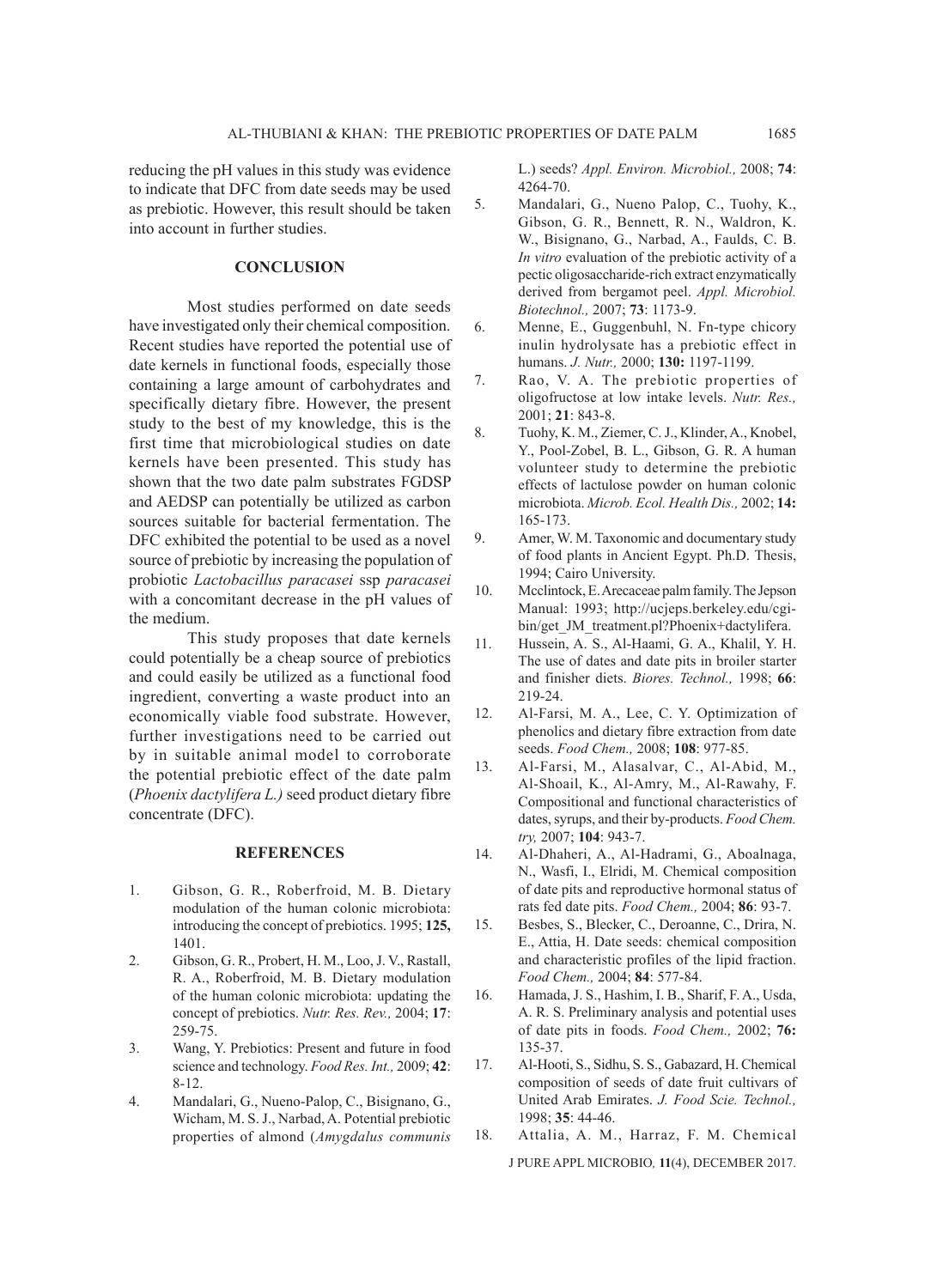reducing the pH values in this study was evidence to indicate that DFC from date seeds may be used as prebiotic. However, this result should be taken into account in further studies.

# **CONCLUSION**

Most studies performed on date seeds have investigated only their chemical composition. Recent studies have reported the potential use of date kernels in functional foods, especially those containing a large amount of carbohydrates and specifically dietary fibre. However, the present study to the best of my knowledge, this is the first time that microbiological studies on date kernels have been presented. This study has shown that the two date palm substrates FGDSP and AEDSP can potentially be utilized as carbon sources suitable for bacterial fermentation. The DFC exhibited the potential to be used as a novel source of prebiotic by increasing the population of probiotic *Lactobacillus paracasei* ssp *paracasei* with a concomitant decrease in the pH values of the medium.

This study proposes that date kernels could potentially be a cheap source of prebiotics and could easily be utilized as a functional food ingredient, converting a waste product into an economically viable food substrate. However, further investigations need to be carried out by in suitable animal model to corroborate the potential prebiotic effect of the date palm (*Phoenix dactylifera L.)* seed product dietary fibre concentrate (DFC).

#### **REFERENCES**

- 1. Gibson, G. R., Roberfroid, M. B. Dietary modulation of the human colonic microbiota: introducing the concept of prebiotics. 1995; **125,** 1401.
- 2. Gibson, G. R., Probert, H. M., Loo, J. V., Rastall, R. A., Roberfroid, M. B. Dietary modulation of the human colonic microbiota: updating the concept of prebiotics. *Nutr. Res. Rev.,* 2004; **17**: 259-75.
- 3. Wang, Y. Prebiotics: Present and future in food science and technology. *Food Res. Int.,* 2009; **42**: 8-12.
- 4. Mandalari, G., Nueno-Palop, C., Bisignano, G., Wicham, M. S. J., Narbad, A. Potential prebiotic properties of almond (*Amygdalus communis*

L.) seeds? *Appl. Environ. Microbiol.,* 2008; **74**: 4264-70.

- 5. Mandalari, G., Nueno Palop, C., Tuohy, K., Gibson, G. R., Bennett, R. N., Waldron, K. W., Bisignano, G., Narbad, A., Faulds, C. B. *In vitro* evaluation of the prebiotic activity of a pectic oligosaccharide-rich extract enzymatically derived from bergamot peel. *Appl. Microbiol. Biotechnol.,* 2007; **73**: 1173-9.
- 6. Menne, E., Guggenbuhl, N. Fn-type chicory inulin hydrolysate has a prebiotic effect in humans. *J. Nutr.,* 2000; **130:** 1197-1199.
- 7. Rao, V. A. The prebiotic properties of oligofructose at low intake levels. *Nutr. Res.,*  2001; **21**: 843-8.
- 8. Tuohy, K. M., Ziemer, C. J., Klinder, A., Knobel, Y., Pool-Zobel, B. L., Gibson, G. R. A human volunteer study to determine the prebiotic effects of lactulose powder on human colonic microbiota. *Microb. Ecol. Health Dis.,* 2002; **14:** 165-173.
- 9. Amer, W. M. Taxonomic and documentary study of food plants in Ancient Egypt. Ph.D. Thesis, 1994; Cairo University.
- 10. Mcclintock, E. Arecaceae palm family. The Jepson Manual: 1993; http://ucjeps.berkeley.edu/cgibin/get\_JM\_treatment.pl?Phoenix+dactylifera.
- 11. Hussein, A. S., Al-Haami, G. A., Khalil, Y. H. The use of dates and date pits in broiler starter and finisher diets. *Biores. Technol.,* 1998; **66**: 219-24.
- 12. Al-Farsi, M. A., Lee, C. Y. Optimization of phenolics and dietary fibre extraction from date seeds. *Food Chem.,* 2008; **108**: 977-85.
- 13. Al-Farsi, M., Alasalvar, C., Al-Abid, M., Al-Shoail, K., Al-Amry, M., Al-Rawahy, F. Compositional and functional characteristics of dates, syrups, and their by-products. *Food Chem. try,* 2007; **104**: 943-7.
- 14. Al-Dhaheri, A., Al-Hadrami, G., Aboalnaga, N., Wasfi, I., Elridi, M. Chemical composition of date pits and reproductive hormonal status of rats fed date pits. *Food Chem.,* 2004; **86**: 93-7.
- 15. Besbes, S., Blecker, C., Deroanne, C., Drira, N. E., Attia, H. Date seeds: chemical composition and characteristic profiles of the lipid fraction. *Food Chem.,* 2004; **84**: 577-84.
- 16. Hamada, J. S., Hashim, I. B., Sharif, F. A., Usda, A. R. S. Preliminary analysis and potential uses of date pits in foods. *Food Chem.,* 2002; **76:** 135-37.
- 17. Al-Hooti, S., Sidhu, S. S., Gabazard, H. Chemical composition of seeds of date fruit cultivars of United Arab Emirates. *J. Food Scie. Technol.,*  1998; **35**: 44-46.
- J PURE APPL MICROBIO*,* **11**(4), DECEMBER 2017. 18. Attalia, A. M., Harraz, F. M. Chemical